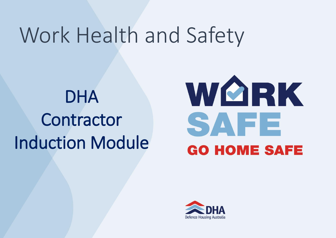### Work Health and Safety

### DHA Contractor Induction Module



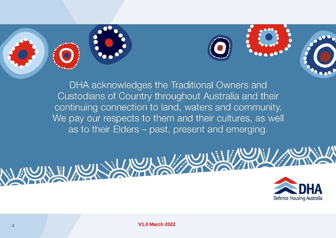



DHA acknowledges the Traditional Owners and Custodians of Country throughout Australia and their continuing connection to land, waters and community. We pay our respects to them and their cultures, as well as to their Elders – past, present and emerging.





<sup>2</sup> **V1.0 March 2022**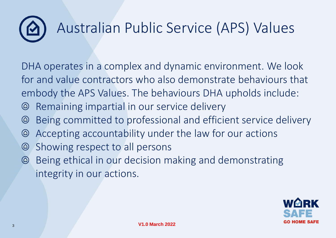### Australian Public Service (APS) Values

DHA operates in a complex and dynamic environment. We look for and value contractors who also demonstrate behaviours that embody the APS Values. The behaviours DHA upholds include:

- Remaining impartial in our service delivery  $\circledcirc$
- Being committed to professional and efficient service delivery  $\circledcirc$
- Accepting accountability under the law for our actions  $\circledcirc$
- Showing respect to all persons  $\circledcirc$
- Being ethical in our decision making and demonstrating  $\circledcirc$ integrity in our actions.

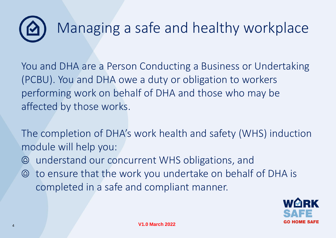## Managing a safe and healthy workplace

You and DHA are a Person Conducting a Business or Undertaking (PCBU). You and DHA owe a duty or obligation to workers performing work on behalf of DHA and those who may be affected by those works.

The completion of DHA's work health and safety (WHS) induction module will help you:

- understand our concurrent WHS obligations, and
- to ensure that the work you undertake on behalf of DHA is completed in a safe and compliant manner.

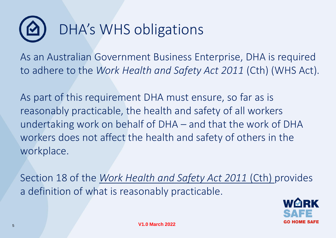

As an Australian Government Business Enterprise, DHA is required to adhere to the *Work Health and Safety Act 2011* (Cth) (WHS Act).

As part of this requirement DHA must ensure, so far as is reasonably practicable, the health and safety of all workers undertaking work on behalf of DHA – and that the work of DHA workers does not affect the health and safety of others in the workplace.

Section 18 of the *[Work Health and Safety Act 2011](https://www.legislation.gov.au/Details/C2018C00293)* (Cth) provides a definition of what is reasonably practicable.

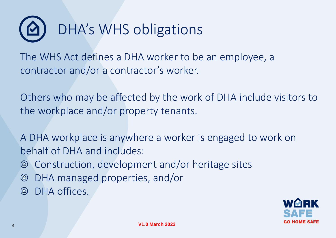

The WHS Act defines a DHA worker to be an employee, a contractor and/or a contractor's worker.

Others who may be affected by the work of DHA include visitors to the workplace and/or property tenants.

A DHA workplace is anywhere a worker is engaged to work on behalf of DHA and includes:

- Construction, development and/or heritage sites
- DHA managed properties, and/or  $\circledcirc$
- DHA offices.

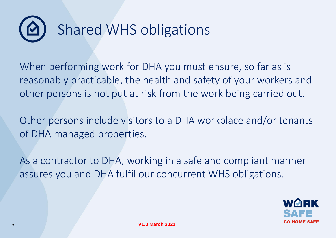

When performing work for DHA you must ensure, so far as is reasonably practicable, the health and safety of your workers and other persons is not put at risk from the work being carried out.

Other persons include visitors to a DHA workplace and/or tenants of DHA managed properties.

As a contractor to DHA, working in a safe and compliant manner assures you and DHA fulfil our concurrent WHS obligations.

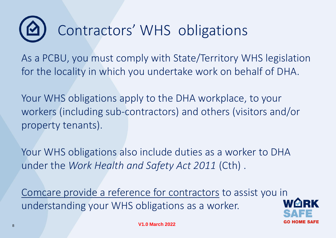### Contractors' WHS obligations

As a PCBU, you must comply with State/Territory WHS legislation for the locality in which you undertake work on behalf of DHA.

Your WHS obligations apply to the DHA workplace, to your workers (including sub-contractors) and others (visitors and/or property tenants).

Your WHS obligations also include duties as a worker to DHA under the *Work Health and Safety Act 2011* (Cth) .

[Comcare provide a reference for contractors](https://www.comcare.gov.au/about/forms-publications/documents/publications/safety/contractors-subcontractors-whs-act.pdf) to assist you in understanding your WHS obligations as a worker.

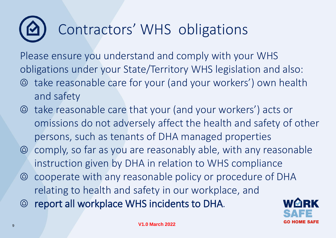### Contractors' WHS obligations

Please ensure you understand and comply with your WHS obligations under your State/Territory WHS legislation and also:

- take reasonable care for your (and your workers') own health and safety
- take reasonable care that your (and your workers') acts or omissions do not adversely affect the health and safety of other persons, such as tenants of DHA managed properties
- comply, so far as you are reasonably able, with any reasonable instruction given by DHA in relation to WHS compliance
- cooperate with any reasonable policy or procedure of DHA relating to health and safety in our workplace, and
- report all workplace WHS incidents to DHA.

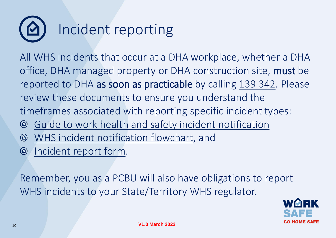

All WHS incidents that occur at a DHA workplace, whether a DHA office, DHA managed property or DHA construction site, must be reported to DHA as soon as practicable by calling [139 342](tel:139342). Please review these documents to ensure you understand the timeframes associated with reporting specific incident types:

- [Guide to work health and safety incident notification](https://www.dha.gov.au/docs/default-source/whs/ig_0001-guide-to-whs-incident-notification.pdf?sfvrsn=22c96b64_2)
- [WHS incident notification flowchart,](https://www.dha.gov.au/docs/default-source/whs/00621-dha-flowchart_04.pdf?sfvrsn=22c96b67_2) and
- $\circ$  [Incident report form.](https://www.dha.gov.au/docs/default-source/contractors/contractor-incident-report-0221-f.pdf?sfvrsn=22c96b67_2)

Remember, you as a PCBU will also have obligations to report WHS incidents to your State/Territory WHS regulator.

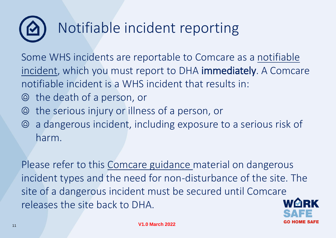# Notifiable incident reporting

[Some WHS incidents are reportable to Comcare as a notifiable](https://www.dha.gov.au/work-with-us/work-health-and-safety/whs-incident-reporting)  incident, which you must report to DHA immediately. A Comcare notifiable incident is a WHS incident that results in:

- the death of a person, or  $\circledcirc$
- the serious injury or illness of a person, or
- a dangerous incident, including exposure to a serious risk of harm.

Please refer to this [Comcare guidance](https://www.comcare.gov.au/about/forms-publications/documents/publications/safety/incident-notification-guide.pdf) material on dangerous incident types and the need for non-disturbance of the site. The site of a dangerous incident must be secured until Comcare releases the site back to DHA.

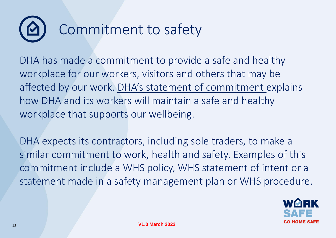# Commitment to safety

DHA has made a commitment to provide a safe and healthy workplace for our workers, visitors and others that may be affected by our work. DHA's [statement of commitment e](https://www.dha.gov.au/work-with-us/work-health-and-safety)xplains how DHA and its workers will maintain a safe and healthy workplace that supports our wellbeing.

DHA expects its contractors, including sole traders, to make a similar commitment to work, health and safety. Examples of this commitment include a WHS policy, WHS statement of intent or a statement made in a safety management plan or WHS procedure.

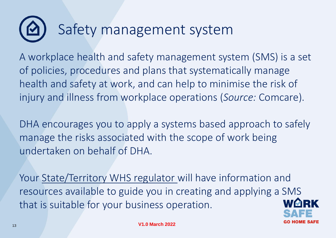### Safety management system

A workplace health and safety management system (SMS) is a set of policies, procedures and plans that systematically manage health and safety at work, and can help to minimise the risk of injury and illness from workplace operations (*Source:* Comcare).

DHA encourages you to apply a systems based approach to safely manage the risks associated with the scope of work being undertaken on behalf of DHA.

Your [State/Territory WHS regulator w](https://www.safeworkaustralia.gov.au/law-and-regulation/whs-regulators-and-workers-compensation-authorities-contact-information)ill have information and resources available to guide you in creating and applying a SMS that is suitable for your business operation.

13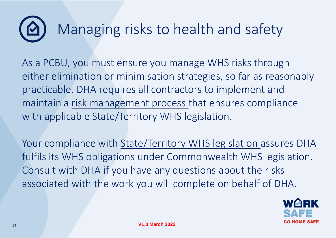### Managing risks to health and safety

As a PCBU, you must ensure you manage WHS risks through either elimination or minimisation strategies, so far as reasonably practicable. DHA requires all contractors to implement and maintain a [risk management process](https://www.safeworkaustralia.gov.au/safety-topic/managing-health-and-safety/identify-assess-and-control-hazards) that ensures compliance with applicable State/Territory WHS legislation.

Your compliance with [State/Territory WHS legislation a](https://www.safeworkaustralia.gov.au/law-and-regulation/whs-regulators-and-workers-compensation-authorities-contact-information)ssures DHA fulfils its WHS obligations under Commonwealth WHS legislation. Consult with DHA if you have any questions about the risks associated with the work you will complete on behalf of DHA.

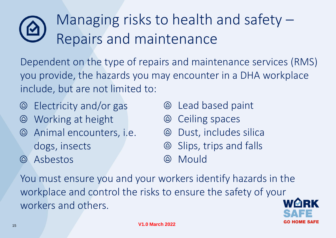#### Managing risks to health and safety – Repairs and maintenance

Dependent on the type of repairs and maintenance services (RMS) you provide, the hazards you may encounter in a DHA workplace include, but are not limited to:

- Electricity and/or gas
- Working at height  $\circledcirc$
- Animal encounters, i.e. dogs, insects
- Asbestos  $\circledcirc$
- Lead based paint
- Ceiling spaces  $\circledcirc$
- Dust, includes silica  $\circledcirc$
- Slips, trips and falls
- Mould  $\circledR$

You must ensure you and your workers identify hazards in the workplace and control the risks to ensure the safety of your workers and others.

15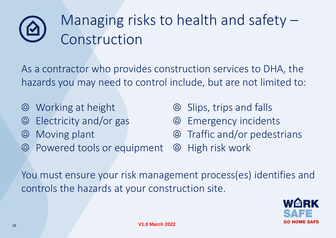### Managing risks to health and safety – Construction

As a contractor who provides construction services to DHA, the hazards you may need to control include, but are not limited to:

- Working at height  $\circledcirc$
- Electricity and/or gas  $\circledcirc$
- Moving plant  $\circledcirc$
- Powered tools or equipment
- Slips, trips and falls
- Emergency incidents  $\circledcirc$
- Traffic and/or pedestrians
- High risk work

You must ensure your risk management process(es) identifies and controls the hazards at your construction site.

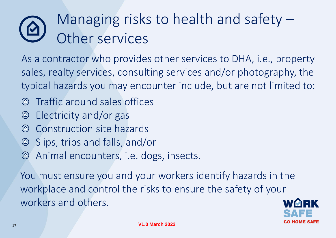#### Managing risks to health and safety – Other services

As a contractor who provides other services to DHA, i.e., property sales, realty services, consulting services and/or photography, the typical hazards you may encounter include, but are not limited to:

- Traffic around sales offices  $\circledcirc$
- Electricity and/or gas  $\circledcirc$
- Construction site hazards
- Slips, trips and falls, and/or
- Animal encounters, i.e. dogs, insects.  $\circledcirc$

You must ensure you and your workers identify hazards in the workplace and control the risks to ensure the safety of your workers and others.

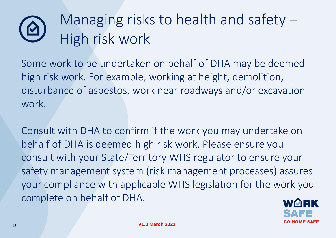### Managing risks to health and safety – High risk work

Some work to be undertaken on behalf of DHA may be deemed high risk work. For example, working at height, demolition, disturbance of asbestos, work near roadways and/or excavation work.

Consult with DHA to confirm if the work you may undertake on behalf of DHA is deemed high risk work. Please ensure you consult with your State/Territory WHS regulator to ensure your safety management system (risk management processes) assures your compliance with applicable WHS legislation for the work you complete on behalf of DHA.

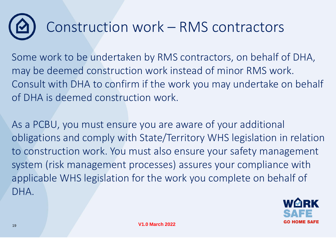### Construction work – RMS contractors

Some work to be undertaken by RMS contractors, on behalf of DHA, may be deemed construction work instead of minor RMS work. Consult with DHA to confirm if the work you may undertake on behalf of DHA is deemed construction work.

As a PCBU, you must ensure you are aware of your additional obligations and comply with State/Territory WHS legislation in relation to construction work. You must also ensure your safety management system (risk management processes) assures your compliance with applicable WHS legislation for the work you complete on behalf of DHA.

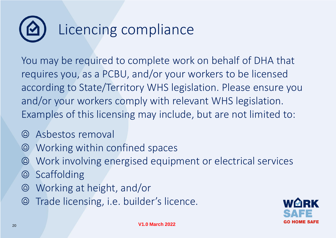### Licencing compliance

You may be required to complete work on behalf of DHA that requires you, as a PCBU, and/or your workers to be licensed according to State/Territory WHS legislation. Please ensure you and/or your workers comply with relevant WHS legislation. Examples of this licensing may include, but are not limited to:

- Asbestos removal  $\circledcirc$
- Working within confined spaces  $\circledcirc$
- Work involving energised equipment or electrical services  $\circledcirc$
- **Scaffolding**  $\circledcirc$
- Working at height, and/or  $\circledcirc$
- Trade licensing, i.e. builder's licence.  $\circledcirc$

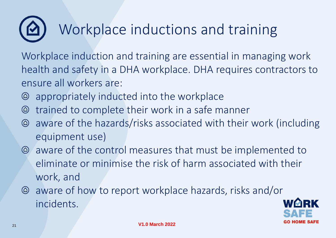### Workplace inductions and training

Workplace induction and training are essential in managing work health and safety in a DHA workplace. DHA requires contractors to ensure all workers are:

- appropriately inducted into the workplace  $\circledcirc$
- trained to complete their work in a safe manner  $\circledcirc$
- aware of the hazards/risks associated with their work (including equipment use)
- aware of the control measures that must be implemented to eliminate or minimise the risk of harm associated with their work, and
- aware of how to report workplace hazards, risks and/or incidents.

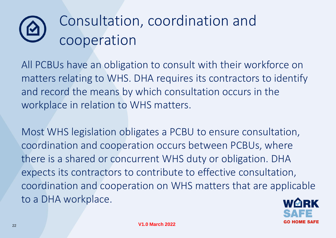#### Consultation, coordination and <u>ମ</u> cooperation

All PCBUs have an obligation to consult with their workforce on matters relating to WHS. DHA requires its contractors to identify and record the means by which consultation occurs in the workplace in relation to WHS matters.

Most WHS legislation obligates a PCBU to ensure consultation, coordination and cooperation occurs between PCBUs, where there is a shared or concurrent WHS duty or obligation. DHA expects its contractors to contribute to effective consultation, coordination and cooperation on WHS matters that are applicable to a DHA workplace.

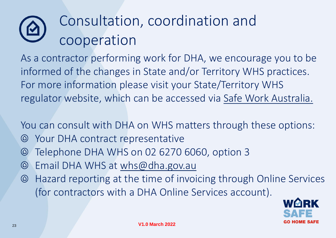### Consultation, coordination and cooperation

As a contractor performing work for DHA, we encourage you to be informed of the changes in State and/or Territory WHS practices. For more information please visit your State/Territory WHS regulator website, which can be accessed via [Safe Work Australia.](https://www.safeworkaustralia.gov.au/law-and-regulation/whs-regulators-and-workers-compensation-authorities-contact-information)

You can consult with DHA on WHS matters through these options:

- Your DHA contract representative
- Telephone DHA WHS on 02 6270 6060, option 3  $\circledcirc$
- Email DHA WHS at [whs@dha.gov.au](mailto:whs@dha.gov.au)
- Hazard reporting at the time of invoicing through Online Services (for contractors with a DHA Online Services account).

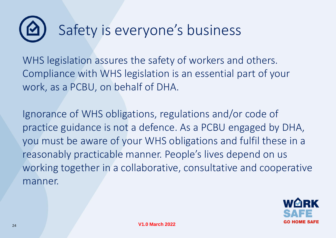### Safety is everyone's business

WHS legislation assures the safety of workers and others. Compliance with WHS legislation is an essential part of your work, as a PCBU, on behalf of DHA.

Ignorance of WHS obligations, regulations and/or code of practice guidance is not a defence. As a PCBU engaged by DHA, you must be aware of your WHS obligations and fulfil these in a reasonably practicable manner. People's lives depend on us working together in a collaborative, consultative and cooperative manner.